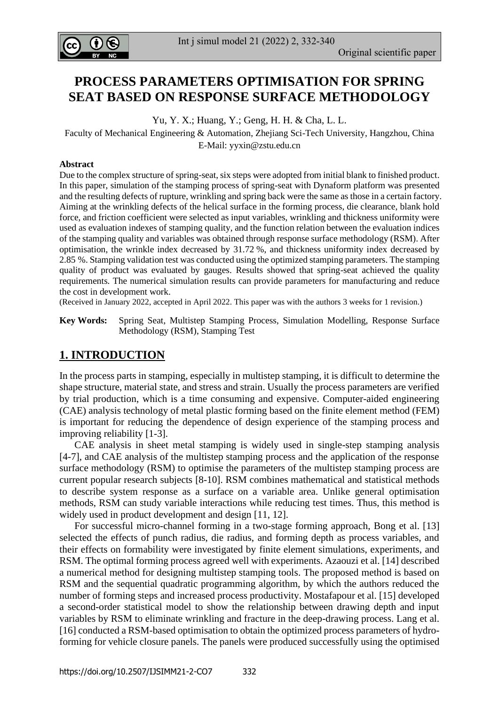

# **PROCESS PARAMETERS OPTIMISATION FOR SPRING SEAT BASED ON RESPONSE SURFACE METHODOLOGY**

Yu, Y. X.; Huang, Y.; Geng, H. H. & Cha, L. L.

Faculty of Mechanical Engineering & Automation, Zhejiang Sci-Tech University, Hangzhou, China E-Mail: [yyxin@zstu.edu.cn](mailto:yyxin@zstu.edu.cn)

#### **Abstract**

Due to the complex structure of spring-seat, six steps were adopted from initial blank to finished product. In this paper, simulation of the stamping process of spring-seat with Dynaform platform was presented and the resulting defects of rupture, wrinkling and spring back were the same as those in a certain factory. Aiming at the wrinkling defects of the helical surface in the forming process, die clearance, blank hold force, and friction coefficient were selected as input variables, wrinkling and thickness uniformity were used as evaluation indexes of stamping quality, and the function relation between the evaluation indices of the stamping quality and variables was obtained through response surface methodology (RSM). After optimisation, the wrinkle index decreased by 31.72 %, and thickness uniformity index decreased by 2.85 %. Stamping validation test was conducted using the optimized stamping parameters. The stamping quality of product was evaluated by gauges. Results showed that spring-seat achieved the quality requirements. The numerical simulation results can provide parameters for manufacturing and reduce the cost in development work.

(Received in January 2022, accepted in April 2022. This paper was with the authors 3 weeks for 1 revision.)

**Key Words:** Spring Seat, Multistep Stamping Process, Simulation Modelling, Response Surface Methodology (RSM), Stamping Test

## **1. INTRODUCTION**

In the process parts in stamping, especially in multistep stamping, it is difficult to determine the shape structure, material state, and stress and strain. Usually the process parameters are verified by trial production, which is a time consuming and expensive. Computer-aided engineering (CAE) analysis technology of metal plastic forming based on the finite element method (FEM) is important for reducing the dependence of design experience of the stamping process and improving reliability [1-3].

 CAE analysis in sheet metal stamping is widely used in single-step stamping analysis [4-7], and CAE analysis of the multistep stamping process and the application of the response surface methodology (RSM) to optimise the parameters of the multistep stamping process are current popular research subjects [8-10]. RSM combines mathematical and statistical methods to describe system response as a surface on a variable area. Unlike general optimisation methods, RSM can study variable interactions while reducing test times. Thus, this method is widely used in product development and design [11, 12].

 For successful micro-channel forming in a two-stage forming approach, Bong et al. [13] selected the effects of punch radius, die radius, and forming depth as process variables, and their effects on formability were investigated by finite element simulations, experiments, and RSM. The optimal forming process agreed well with experiments. Azaouzi et al. [14] described a numerical method for designing multistep stamping tools. The proposed method is based on RSM and the sequential quadratic programming algorithm, by which the authors reduced the number of forming steps and increased process productivity. Mostafapour et al. [15] developed a second-order statistical model to show the relationship between drawing depth and input variables by RSM to eliminate wrinkling and fracture in the deep-drawing process. Lang et al. [16] conducted a RSM-based optimisation to obtain the optimized process parameters of hydroforming for vehicle closure panels. The panels were produced successfully using the optimised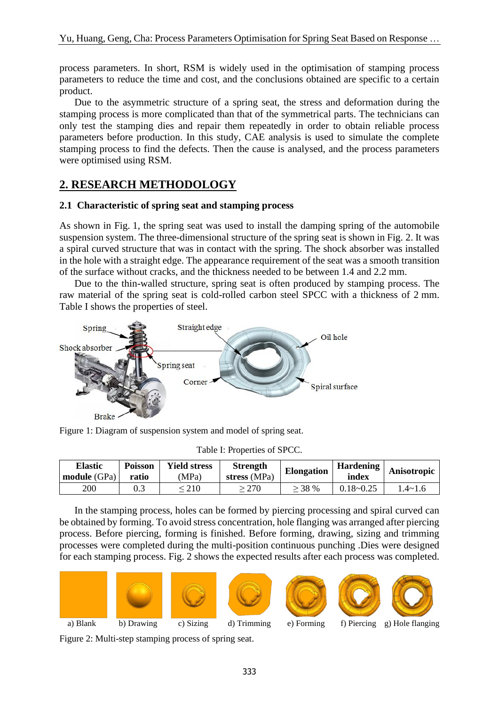process parameters. In short, RSM is widely used in the optimisation of stamping process parameters to reduce the time and cost, and the conclusions obtained are specific to a certain product.

 Due to the asymmetric structure of a spring seat, the stress and deformation during the stamping process is more complicated than that of the symmetrical parts. The technicians can only test the stamping dies and repair them repeatedly in order to obtain reliable process parameters before production. In this study, CAE analysis is used to simulate the complete stamping process to find the defects. Then the cause is analysed, and the process parameters were optimised using RSM.

# **2. RESEARCH METHODOLOGY**

## **2.1 Characteristic of spring seat and stamping process**

As shown in Fig. 1, the spring seat was used to install the damping spring of the automobile suspension system. The three-dimensional structure of the spring seat is shown in Fig. 2. It was a spiral curved structure that was in contact with the spring. The shock absorber was installed in the hole with a straight edge. The appearance requirement of the seat was a smooth transition of the surface without cracks, and the thickness needed to be between 1.4 and 2.2 mm.

 Due to the thin-walled structure, spring seat is often produced by stamping process. The raw material of the spring seat is cold-rolled carbon steel SPCC with a thickness of 2 mm. Table I shows the properties of steel.



Figure 1: Diagram of suspension system and model of spring seat.

| 1401011110001110001101000      |                         |                             |                                 |                   |                           |               |
|--------------------------------|-------------------------|-----------------------------|---------------------------------|-------------------|---------------------------|---------------|
| <b>Elastic</b><br>module (GPa) | <b>Poisson</b><br>ratio | <b>Yield stress</b><br>(MPa | <b>Strength</b><br>stress (MPa) | <b>Elongation</b> | <b>Hardening</b><br>index | Anisotropic   |
| 200                            |                         | 210                         | $\cdot$ 270                     | $>$ 38 %          | $0.18 - 0.25$             | $.4 \sim 1.6$ |

Table I: Properties of SPCC.

 In the stamping process, holes can be formed by piercing processing and spiral curved can be obtained by forming. To avoid stress concentration, hole flanging was arranged after piercing process. Before piercing, forming is finished. Before forming, drawing, sizing and trimming processes were completed during the multi-position continuous punching .Dies were designed for each stamping process. Fig. 2 shows the expected results after each process was completed.













Figure 2: Multi-step stamping process of spring seat.

- 
- a) Blank b) Drawing c) Sizing d) Trimming e) Forming f) Piercing g) Hole flanging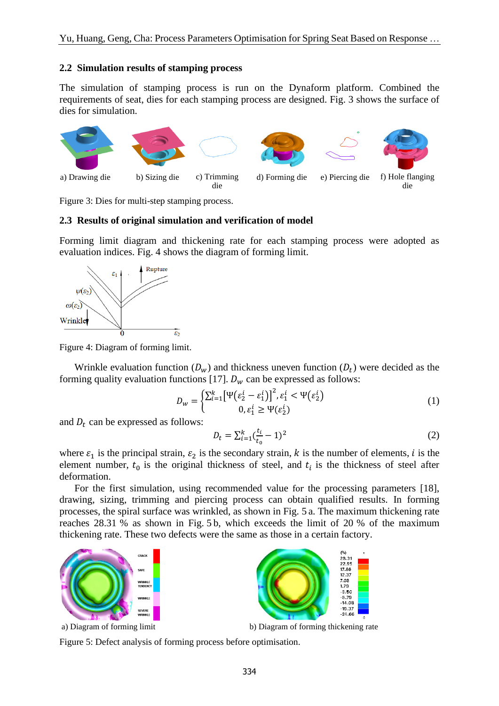#### **2.2 Simulation results of stamping process**

The simulation of stamping process is run on the Dynaform platform. Combined the requirements of seat, dies for each stamping process are designed. Fig. 3 shows the surface of dies for simulation.



Figure 3: Dies for multi-step stamping process.

### **2.3 Results of original simulation and verification of model**

Forming limit diagram and thickening rate for each stamping process were adopted as evaluation indices. Fig. 4 shows the diagram of forming limit.



Figure 4: Diagram of forming limit.

Wrinkle evaluation function  $(D_w)$  and thickness uneven function  $(D_t)$  were decided as the forming quality evaluation functions [17].  $D_w$  can be expressed as follows:

$$
D_w = \begin{cases} \sum_{i=1}^k \left[ \Psi(\varepsilon_2^i - \varepsilon_1^i) \right]^2, \varepsilon_1^i < \Psi(\varepsilon_2^i) \\ 0, \varepsilon_1^i \ge \Psi(\varepsilon_2^i) \end{cases} \tag{1}
$$

and  $D_t$  can be expressed as follows:

$$
D_t = \sum_{i=1}^k (\frac{t_i}{t_0} - 1)^2
$$
 (2)

where  $\varepsilon_1$  is the principal strain,  $\varepsilon_2$  is the secondary strain, k is the number of elements, i is the element number,  $t_0$  is the original thickness of steel, and  $t_i$  is the thickness of steel after deformation.

 For the first simulation, using recommended value for the processing parameters [18], drawing, sizing, trimming and piercing process can obtain qualified results. In forming processes, the spiral surface was wrinkled, as shown in Fig. 5 a. The maximum thickening rate reaches 28.31 % as shown in Fig. 5 b, which exceeds the limit of 20 % of the maximum thickening rate. These two defects were the same as those in a certain factory.





 $22.9$  $12.37$ 7.09<br>1.79  $-3.50$ -8.79<br>-8.79<br>-14.08  $-19.37$ <br> $-24.66$ 

a) Diagram of forming limit b) Diagram of forming thickening rate

Figure 5: Defect analysis of forming process before optimisation.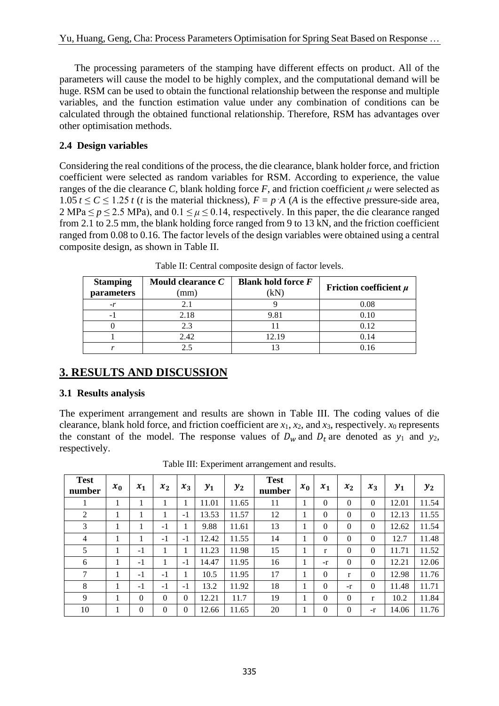The processing parameters of the stamping have different effects on product. All of the parameters will cause the model to be highly complex, and the computational demand will be huge. RSM can be used to obtain the functional relationship between the response and multiple variables, and the function estimation value under any combination of conditions can be calculated through the obtained functional relationship. Therefore, RSM has advantages over other optimisation methods.

## **2.4 Design variables**

Considering the real conditions of the process, the die clearance, blank holder force, and friction coefficient were selected as random variables for RSM. According to experience, the value ranges of the die clearance *C*, blank holding force *F*, and friction coefficient  $\mu$  were selected as 1.05  $t \le C \le 1.25$  *t* (*t* is the material thickness),  $F = p \cdot A$  (*A* is the effective pressure-side area,  $2 \text{ MPa} \le p \le 2.5 \text{ MPa}$ ), and  $0.1 \le \mu \le 0.14$ , respectively. In this paper, the die clearance ranged from 2.1 to 2.5 mm, the blank holding force ranged from 9 to 13 kN, and the friction coefficient ranged from 0.08 to 0.16. The factor levels of the design variables were obtained using a central composite design, as shown in Table II.

| <b>Stamping</b><br>parameters | Mould clearance C<br>mm) | Blank hold force $F$<br>ΈN | Friction coefficient $\mu$ |
|-------------------------------|--------------------------|----------------------------|----------------------------|
| $-r$                          | 2.1                      |                            | 0.08                       |
| - 1                           | 2.18                     | 9.81                       | 0.10                       |
|                               | 2.3                      |                            | 0.12                       |
|                               | 2.42                     | 12.19                      | 0.14                       |
|                               |                          |                            |                            |

Table II: Central composite design of factor levels.

# **3. RESULTS AND DISCUSSION**

## **3.1 Results analysis**

The experiment arrangement and results are shown in Table III. The coding values of die clearance, blank hold force, and friction coefficient are *x*1, *x*2, and *x*3, respectively. *x*<sup>0</sup> represents the constant of the model. The response values of  $D_w$  and  $D_t$  are denoted as  $y_1$  and  $y_2$ , respectively.

| <b>Test</b><br>number | $x_0$ | $x_1$    | $x_2$    | $x_3$        | $y_1$ | $\mathbf{y}_2$ | <b>Test</b><br>number | $x_0$ | $x_1$        | $x_2$          | $x_3$    | $y_1$ | $y_2$ |
|-----------------------|-------|----------|----------|--------------|-------|----------------|-----------------------|-------|--------------|----------------|----------|-------|-------|
| ı                     |       | 1        |          |              | 11.01 | 11.65          | 11                    | 1     | $\theta$     | $\Omega$       | $\Omega$ | 12.01 | 11.54 |
| 2                     |       | 1        |          | $-1$         | 13.53 | 11.57          | 12                    | 1     | $\Omega$     | $\overline{0}$ | $\Omega$ | 12.13 | 11.55 |
| 3                     |       | 1        | $-1$     |              | 9.88  | 11.61          | 13                    | 1     | $\Omega$     | $\Omega$       | $\Omega$ | 12.62 | 11.54 |
| $\overline{4}$        |       |          | $-1$     | $-1$         | 12.42 | 11.55          | 14                    |       | $\Omega$     | $\Omega$       | $\Omega$ | 12.7  | 11.48 |
| 5                     |       | $-1$     |          |              | 11.23 | 11.98          | 15                    | 1     | r            | $\theta$       | $\Omega$ | 11.71 | 11.52 |
| 6                     |       | $-1$     |          | $-1$         | 14.47 | 11.95          | 16                    | 1     | $-r$         | $\overline{0}$ | $\Omega$ | 12.21 | 12.06 |
| 7                     |       | $-1$     | $-1$     |              | 10.5  | 11.95          | 17                    | 1     | $\mathbf{0}$ | r              | $\theta$ | 12.98 | 11.76 |
| 8                     |       | $-1$     | $-1$     | $-1$         | 13.2  | 11.92          | 18                    | 1     | $\Omega$     | -r             | $\Omega$ | 11.48 | 11.71 |
| 9                     |       | $\Omega$ | $\Omega$ | $\mathbf{0}$ | 12.21 | 11.7           | 19                    | 1     | $\Omega$     | $\mathbf{0}$   | r        | 10.2  | 11.84 |
| 10                    |       | $\Omega$ | $\Omega$ | $\Omega$     | 12.66 | 11.65          | 20                    | 1     | $\Omega$     | $\overline{0}$ | $-r$     | 14.06 | 11.76 |

Table III: Experiment arrangement and results.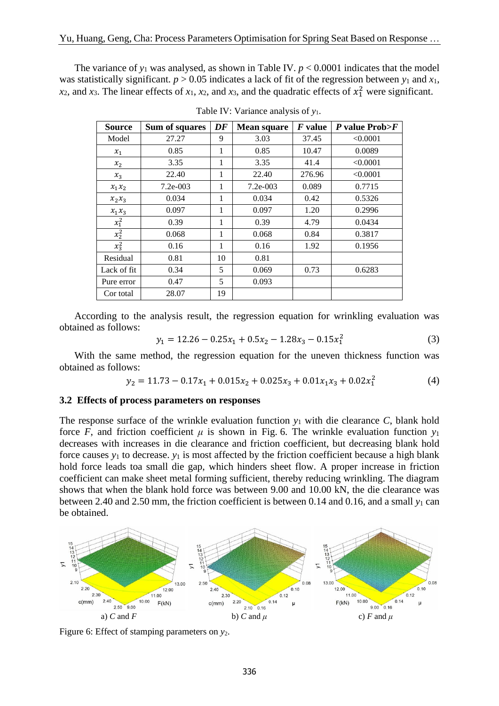The variance of  $y_1$  was analysed, as shown in Table IV.  $p < 0.0001$  indicates that the model was statistically significant.  $p > 0.05$  indicates a lack of fit of the regression between  $y_1$  and  $x_1$ ,  $x_2$ , and  $x_3$ . The linear effects of  $x_1$ ,  $x_2$ , and  $x_3$ , and the quadratic effects of  $x_1^2$  were significant.

| <b>Source</b> | Sum of squares | DF | <b>Mean square</b> | <i>F</i> value | $P$ value Prob $\geq F$ |
|---------------|----------------|----|--------------------|----------------|-------------------------|
| Model         | 27.27          | 9  | 3.03               | 37.45          | < 0.0001                |
| $x_1$         | 0.85           | 1  | 0.85               | 10.47          | 0.0089                  |
| $x_2$         | 3.35           | 1  | 3.35               | 41.4           | < 0.0001                |
| $x_3$         | 22.40          | 1  | 22.40              | 276.96         | < 0.0001                |
| $x_1x_2$      | $7.2e - 0.03$  | 1  | $7.2e - 0.03$      | 0.089          | 0.7715                  |
| $x_2x_3$      | 0.034          | 1  | 0.034              | 0.42           | 0.5326                  |
| $x_1x_3$      | 0.097          | 1  | 0.097              | 1.20           | 0.2996                  |
| $x_1^2$       | 0.39           | 1  | 0.39               | 4.79           | 0.0434                  |
| $x_2^2$       | 0.068          | 1  | 0.068              | 0.84           | 0.3817                  |
| $x_3^2$       | 0.16           | 1  | 0.16               | 1.92           | 0.1956                  |
| Residual      | 0.81           | 10 | 0.81               |                |                         |
| Lack of fit   | 0.34           | 5  | 0.069              | 0.73           | 0.6283                  |
| Pure error    | 0.47           | 5  | 0.093              |                |                         |
| Cor total     | 28.07          | 19 |                    |                |                         |

Table IV: Variance analysis of *y*1.

 According to the analysis result, the regression equation for wrinkling evaluation was obtained as follows:

$$
y_1 = 12.26 - 0.25x_1 + 0.5x_2 - 1.28x_3 - 0.15x_1^2
$$
 (3)

 With the same method, the regression equation for the uneven thickness function was obtained as follows:

$$
y_2 = 11.73 - 0.17x_1 + 0.015x_2 + 0.025x_3 + 0.01x_1x_3 + 0.02x_1^2 \tag{4}
$$

#### **3.2 Effects of process parameters on responses**

The response surface of the wrinkle evaluation function *y*<sup>1</sup> with die clearance *C*, blank hold force *F*, and friction coefficient  $\mu$  is shown in Fig. 6. The wrinkle evaluation function  $y_1$ decreases with increases in die clearance and friction coefficient, but decreasing blank hold force causes  $y_1$  to decrease.  $y_1$  is most affected by the friction coefficient because a high blank hold force leads toa small die gap, which hinders sheet flow. A proper increase in friction coefficient can make sheet metal forming sufficient, thereby reducing wrinkling. The diagram shows that when the blank hold force was between 9.00 and 10.00 kN, the die clearance was between 2.40 and 2.50 mm, the friction coefficient is between 0.14 and 0.16, and a small *y*<sup>1</sup> can be obtained.



Figure 6: Effect of stamping parameters on  $y_2$ .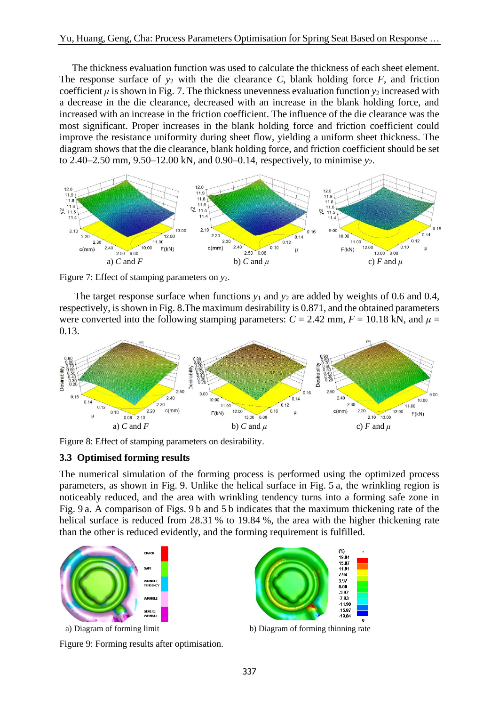The thickness evaluation function was used to calculate the thickness of each sheet element. The response surface of  $y_2$  with the die clearance *C*, blank holding force *F*, and friction coefficient  $\mu$  is shown in Fig. 7. The thickness unevenness evaluation function  $y_2$  increased with a decrease in the die clearance, decreased with an increase in the blank holding force, and increased with an increase in the friction coefficient. The influence of the die clearance was the most significant. Proper increases in the blank holding force and friction coefficient could improve the resistance uniformity during sheet flow, yielding a uniform sheet thickness. The diagram shows that the die clearance, blank holding force, and friction coefficient should be set to 2.40–2.50 mm, 9.50–12.00 kN, and 0.90–0.14, respectively, to minimise *y*2.



Figure 7: Effect of stamping parameters on  $y_2$ .

The target response surface when functions  $y_1$  and  $y_2$  are added by weights of 0.6 and 0.4, respectively, is shown in Fig. 8.The maximum desirability is 0.871, and the obtained parameters were converted into the following stamping parameters:  $C = 2.42$  mm,  $F = 10.18$  kN, and  $\mu =$ 0.13.



Figure 8: Effect of stamping parameters on desirability.

## **3.3 Optimised forming results**

The numerical simulation of the forming process is performed using the optimized process parameters, as shown in Fig. 9. Unlike the helical surface in Fig. 5 a, the wrinkling region is noticeably reduced, and the area with wrinkling tendency turns into a forming safe zone in Fig. 9 a. A comparison of Figs. 9 b and 5 b indicates that the maximum thickening rate of the helical surface is reduced from 28.31 % to 19.84 %, the area with the higher thickening rate than the other is reduced evidently, and the forming requirement is fulfilled.



Figure 9: Forming results after optimisation.



a) Diagram of forming limit b) Diagram of forming thinning rate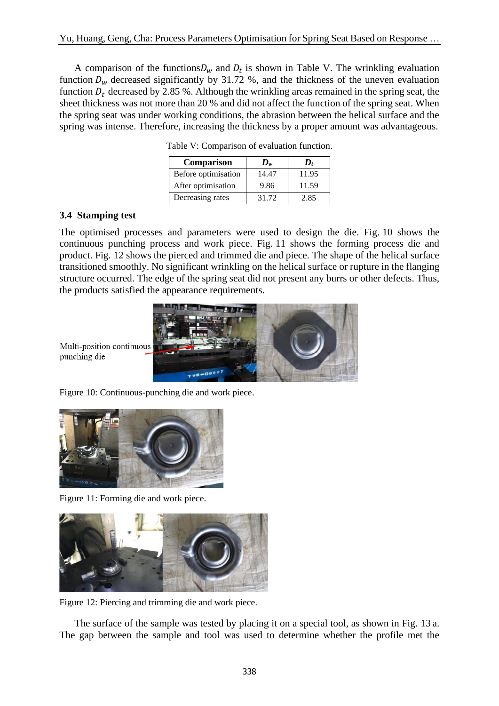A comparison of the functions  $D_w$  and  $D_t$  is shown in Table V. The wrinkling evaluation function  $D_w$  decreased significantly by 31.72 %, and the thickness of the uneven evaluation function  $D_t$  decreased by 2.85 %. Although the wrinkling areas remained in the spring seat, the sheet thickness was not more than 20 % and did not affect the function of the spring seat. When the spring seat was under working conditions, the abrasion between the helical surface and the spring was intense. Therefore, increasing the thickness by a proper amount was advantageous.

| <b>Comparison</b>   | $\mathbf{D}_w$ | $\bm{D}_t$ |
|---------------------|----------------|------------|
| Before optimisation | 14.47          | 11.95      |
| After optimisation  | 9.86           | 11.59      |
| Decreasing rates    | 31.72          | 2.85       |

Table V: Comparison of evaluation function.

### **3.4 Stamping test**

The optimised processes and parameters were used to design the die. Fig. 10 shows the continuous punching process and work piece. Fig. 11 shows the forming process die and product. Fig. 12 shows the pierced and trimmed die and piece. The shape of the helical surface transitioned smoothly. No significant wrinkling on the helical surface or rupture in the flanging structure occurred. The edge of the spring seat did not present any burrs or other defects. Thus, the products satisfied the appearance requirements.



Multi-position continuous punching die

Figure 10: Continuous-punching die and work piece.



Figure 11: Forming die and work piece.



Figure 12: Piercing and trimming die and work piece.

 The surface of the sample was tested by placing it on a special tool, as shown in Fig. 13 a. The gap between the sample and tool was used to determine whether the profile met the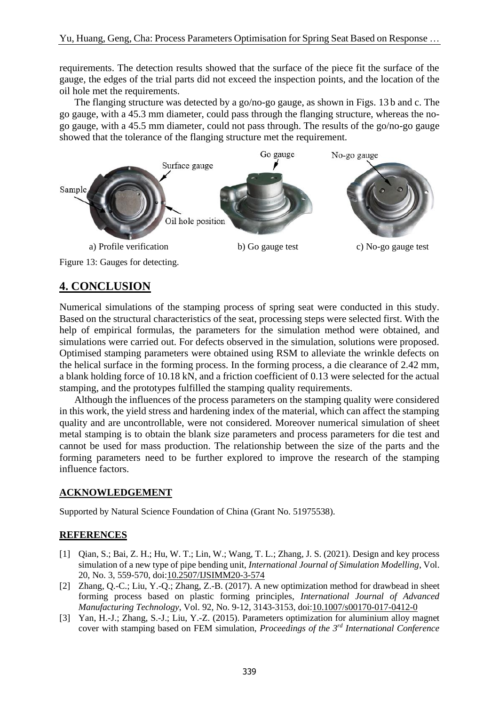requirements. The detection results showed that the surface of the piece fit the surface of the gauge, the edges of the trial parts did not exceed the inspection points, and the location of the oil hole met the requirements.

 The flanging structure was detected by a go/no-go gauge, as shown in Figs. 13 b and c. The go gauge, with a 45.3 mm diameter, could pass through the flanging structure, whereas the nogo gauge, with a 45.5 mm diameter, could not pass through. The results of the go/no-go gauge showed that the tolerance of the flanging structure met the requirement.



Figure 13: Gauges for detecting.

# **4. CONCLUSION**

Numerical simulations of the stamping process of spring seat were conducted in this study. Based on the structural characteristics of the seat, processing steps were selected first. With the help of empirical formulas, the parameters for the simulation method were obtained, and simulations were carried out. For defects observed in the simulation, solutions were proposed. Optimised stamping parameters were obtained using RSM to alleviate the wrinkle defects on the helical surface in the forming process. In the forming process, a die clearance of 2.42 mm, a blank holding force of 10.18 kN, and a friction coefficient of 0.13 were selected for the actual stamping, and the prototypes fulfilled the stamping quality requirements.

 Although the influences of the process parameters on the stamping quality were considered in this work, the yield stress and hardening index of the material, which can affect the stamping quality and are uncontrollable, were not considered. Moreover numerical simulation of sheet metal stamping is to obtain the blank size parameters and process parameters for die test and cannot be used for mass production. The relationship between the size of the parts and the forming parameters need to be further explored to improve the research of the stamping influence factors.

## **ACKNOWLEDGEMENT**

Supported by Natural Science Foundation of China (Grant No. 51975538).

## **REFERENCES**

- [1] Qian, S.; Bai, Z. H.; Hu, W. T.; Lin, W.; Wang, T. L.; Zhang, J. S. (2021). Design and key process simulation of a new type of pipe bending unit, *International Journal of Simulation Modelling*, Vol. 20, No. 3, 559-570, doi[:10.2507/IJSIMM20-3-574](https://doi.org/10.2507/IJSIMM20-3-574)
- [2] Zhang, Q.-C.; [Liu, Y.-Q.](http://xueshu.baidu.com/s?wd=author%3A%28%20Liu%2C%20Yuqi%29%20&tn=SE_baiduxueshu_c1gjeupa&ie=utf-8&sc_f_para=sc_hilight%3Dperson); [Zhang, Z.-B.](http://xueshu.baidu.com/s?wd=author%3A%28%20Zhang%2C%20Zhibing%29%20&tn=SE_baiduxueshu_c1gjeupa&ie=utf-8&sc_f_para=sc_hilight%3Dperson) (2017). A new optimization method for drawbead in sheet forming process based on plastic forming principles, *International Journal of Advanced Manufacturing Technology*, Vol. 92, No. 9-12, 3143-3153, doi[:10.1007/s00170-017-0412-0](https://doi.org/10.1007/s00170-017-0412-0)
- [3] Yan, H.-J.; Zhang, S.-J.; Liu, Y.-Z. (2015). Parameters optimization for aluminium alloy magnet cover with stamping based on FEM simulation, *Proceedings of the 3 rd International Conference*